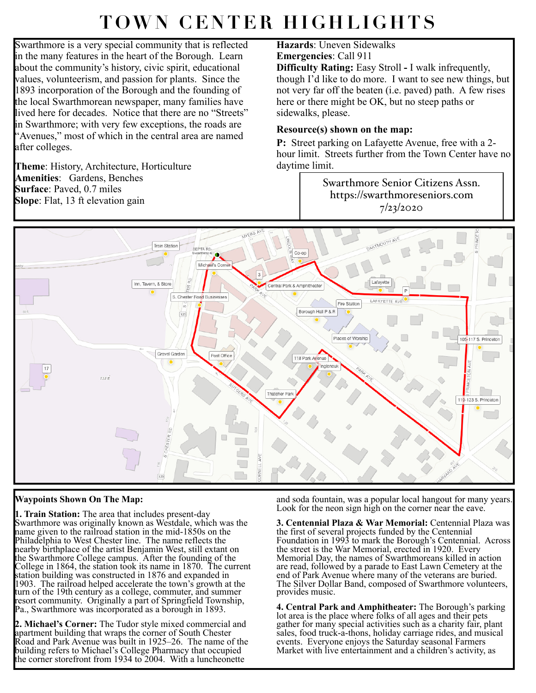## **TOWN CENTER HIGHLIGHTS**

Swarthmore is a very special community that is reflected in the many features in the heart of the Borough. Learn about the community's history, civic spirit, educational values, volunteerism, and passion for plants. Since the 1893 incorporation of the Borough and the founding of the local Swarthmorean newspaper, many families have lived here for decades. Notice that there are no "Streets" in Swarthmore; with very few exceptions, the roads are "Avenues," most of which in the central area are named after colleges.

**Theme**: History, Architecture, Horticulture **Amenities**: Gardens, Benches **Surface**: Paved, 0.7 miles **Slope**: Flat, 13 ft elevation gain

## **Hazards**: Uneven Sidewalks **Emergencies**: Call 911

**Difficulty Rating:** Easy Stroll **-** I walk infrequently, though I'd like to do more. I want to see new things, but not very far off the beaten (i.e. paved) path. A few rises here or there might be OK, but no steep paths or sidewalks, please.

## **Resource(s) shown on the map:**

**P:** Street parking on Lafayette Avenue, free with a 2 hour limit. Streets further from the Town Center have no daytime limit.

> Swarthmore Senior Citizens Assn. https://swarthmoreseniors.com 7/23/2020



## **Waypoints Shown On The Map:**

**1. Train Station:** The area that includes present-day Swarthmore was originally known as Westdale, which was the name given to the railroad station in the mid-1850s on the Philadelphia to West Chester line. The name reflects the nearby birthplace of the artist Benjamin West, still extant on the Swarthmore College campus. After the founding of the College in 1864, the station took its name in 1870. The current station building was constructed in 1876 and expanded in 1903. The railroad helped accelerate the town's growth at the turn of the 19th century as a college, commuter, and summer resort community. Originally a part of Springfield Township, Pa., Swarthmore was incorporated as a borough in 1893.

**2. Michael's Corner:** The Tudor style mixed commercial and apartment building that wraps the corner of South Chester Road and Park Avenue was built in 1925–26. The name of the building refers to Michael's College Pharmacy that occupied the corner storefront from 1934 to 2004. With a luncheonette

and soda fountain, was a popular local hangout for many years. Look for the neon sign high on the corner near the eave.

**3. Centennial Plaza & War Memorial:** Centennial Plaza was the first of several projects funded by the Centennial Foundation in 1993 to mark the Borough's Centennial. Across the street is the War Memorial, erected in 1920. Every Memorial Day, the names of Swarthmoreans killed in action are read, followed by a parade to East Lawn Cemetery at the end of Park Avenue where many of the veterans are buried. The Silver Dollar Band, composed of Swarthmore volunteers, provides music.

**4. Central Park and Amphitheater:** The Borough's parking lot area is the place where folks of all ages and their pets gather for many special activities such as a charity fair, plant sales, food truck-a-thons, holiday carriage rides, and musical events. Everyone enjoys the Saturday seasonal Farmers Market with live entertainment and a children's activity, as